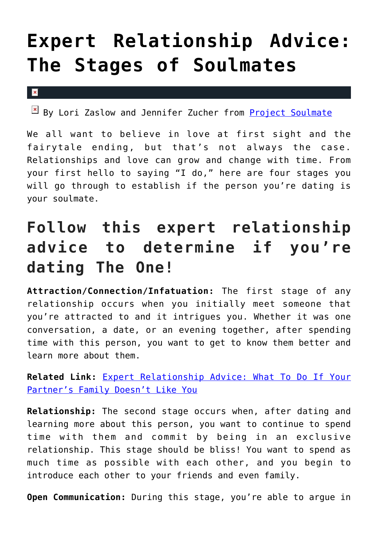## **[Expert Relationship Advice:](https://cupidspulse.com/120692/expert-relationship-advice-stages-of-soulmates/) [The Stages of Soulmates](https://cupidspulse.com/120692/expert-relationship-advice-stages-of-soulmates/)**

 $\mathbf{x}$ 

By Lori Zaslow and Jennifer Zucher from **Project Soulmate** 

We all want to believe in love at first sight and the fairytale ending, but that's not always the case. Relationships and love can grow and change with time. From your first hello to saying "I do," here are four stages you will go through to establish if the person you're dating is your soulmate.

## **Follow this expert relationship advice to determine if you're dating The One!**

**Attraction/Connection/Infatuation:** The first stage of any relationship occurs when you initially meet someone that you're attracted to and it intrigues you. Whether it was one conversation, a date, or an evening together, after spending time with this person, you want to get to know them better and learn more about them.

**Related Link:** [Expert Relationship Advice: What To Do If Your](http://cupidspulse.com/118554/relationship-advice-partners-family-dislikes-you/) [Partner's Family Doesn't Like You](http://cupidspulse.com/118554/relationship-advice-partners-family-dislikes-you/)

**Relationship:** The second stage occurs when, after dating and learning more about this person, you want to continue to spend time with them and commit by being in an exclusive relationship. This stage should be bliss! You want to spend as much time as possible with each other, and you begin to introduce each other to your friends and even family.

**Open Communication:** During this stage, you're able to argue in